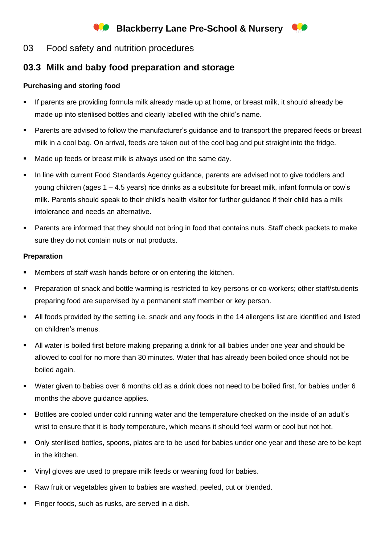# **Blackberry Lane Pre-School & Nursery**

### 03 Food safety and nutrition procedures

## **03.3 Milk and baby food preparation and storage**

### **Purchasing and storing food**

- If parents are providing formula milk already made up at home, or breast milk, it should already be made up into sterilised bottles and clearly labelled with the child's name.
- Parents are advised to follow the manufacturer's guidance and to transport the prepared feeds or breast milk in a cool bag. On arrival, feeds are taken out of the cool bag and put straight into the fridge.
- Made up feeds or breast milk is always used on the same day.
- **•** In line with current Food Standards Agency guidance, parents are advised not to give toddlers and young children (ages 1 – 4.5 years) rice drinks as a substitute for breast milk, infant formula or cow's milk. Parents should speak to their child's health visitor for further guidance if their child has a milk intolerance and needs an alternative.
- Parents are informed that they should not bring in food that contains nuts. Staff check packets to make sure they do not contain nuts or nut products.

### **Preparation**

- Members of staff wash hands before or on entering the kitchen.
- Preparation of snack and bottle warming is restricted to key persons or co-workers; other staff/students preparing food are supervised by a permanent staff member or key person.
- All foods provided by the setting i.e. snack and any foods in the 14 allergens list are identified and listed on children's menus.
- All water is boiled first before making preparing a drink for all babies under one year and should be allowed to cool for no more than 30 minutes. Water that has already been boiled once should not be boiled again.
- Water given to babies over 6 months old as a drink does not need to be boiled first, for babies under 6 months the above guidance applies.
- Bottles are cooled under cold running water and the temperature checked on the inside of an adult's wrist to ensure that it is body temperature, which means it should feel warm or cool but not hot.
- Only sterilised bottles, spoons, plates are to be used for babies under one year and these are to be kept in the kitchen.
- Vinyl gloves are used to prepare milk feeds or weaning food for babies.
- Raw fruit or vegetables given to babies are washed, peeled, cut or blended.
- Finger foods, such as rusks, are served in a dish.